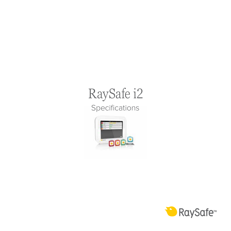# RaySafe i2 Specifications



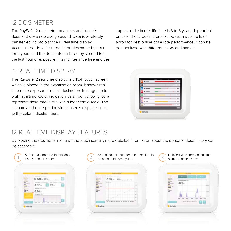# i2 dosimeter

The RaySafe i2 dosimeter measures and records dose and dose rate every second. Data is wirelessly transferred via radio to the i2 real time display. Accumulated dose is stored in the dosimeter by hour for 5 years and the dose rate is stored by second for the last hour of exposure. It is maintenance free and the expected dosimeter life time is 3 to 5 years dependent on use. The i2 dosimeter shall be worn outside lead apron for best online dose rate performance. It can be personalized with different colors and names.

# i2 real time display

The RaySafe i2 real time display is a 10.4" touch screen which is placed in the examination room. It shows real time dose exposure from all dosimeters in range, up to eight at a time. Color indication bars (red, yellow, green) represent dose rate levels with a logarithmic scale. The accumulated dose per individual user is displayed next to the color indication bars.

| <b>Bu Ranger</b>   | $-1$ |  |       |
|--------------------|------|--|-------|
| <b>b. Room</b>     |      |  | tit a |
| <b>Literatures</b> |      |  | .,    |
| <b>B. Februar</b>  |      |  | N)    |
| <b>b. Samue</b>    |      |  |       |
| <b>B. Barrows</b>  |      |  | m s   |
| <b>In Soon</b>     |      |  | ma    |
| <b>But Lowin</b>   |      |  | e.    |
|                    |      |  |       |

### i2 real time display features

By tapping the dosimeter name on the touch screen, more detailed information about the personal dose history can be accessed:

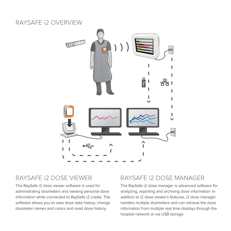### RaySafe i2 overview



### raysafe i2 dose viewer

The RaySafe i2 dose viewer software is used for administrating dosimeters and viewing personal dose information while connected to RaySafe i2 cradle. The software allows you to view dose data history, change dosimeter names and colors and reset dose history.

#### raysafe i2 dose Manager

The RaySafe i2 dose manager is advanced software for analyzing, reporting and archiving dose information. In addition to i2 dose viewer's features, i2 dose manager handles multiple dosimeters and can retrieve the dose information from multiple real time displays through the hospital network or via USB storage.